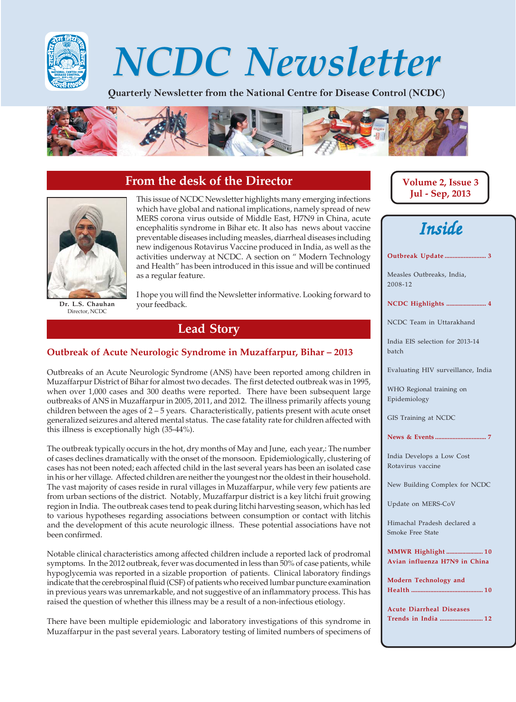

# NCDC Newsletter NCDC Newsletter

Quarterly Newsletter from the National Centre for Disease Control (NCDC)



# **From the desk of the Director**



**Dr. L.S. Chauhan** Director, NCDC

This issue of NCDC Newsletter highlights many emerging infections which have global and national implications, namely spread of new MERS corona virus outside of Middle East, H7N9 in China, acute encephalitis syndrome in Bihar etc. It also has news about vaccine preventable diseases including measles, diarrheal diseases including new indigenous Rotavirus Vaccine produced in India, as well as the activities underway at NCDC. A section on " Modern Technology and Health" has been introduced in this issue and will be continued as a regular feature.

I hope you will find the Newsletter informative. Looking forward to your feedback.

# **Lead Story**

#### **Outbreak of Acute Neurologic Syndrome in Muzaffarpur, Bihar – 2013**

Outbreaks of an Acute Neurologic Syndrome (ANS) have been reported among children in Muzaffarpur District of Bihar for almost two decades. The first detected outbreak was in 1995, when over 1,000 cases and 300 deaths were reported. There have been subsequent large outbreaks of ANS in Muzaffarpur in 2005, 2011, and 2012. The illness primarily affects young children between the ages of  $2 - 5$  years. Characteristically, patients present with acute onset generalized seizures and altered mental status. The case fatality rate for children affected with this illness is exceptionally high (35-44%).

The outbreak typically occurs in the hot, dry months of May and June, each year,: The number of cases declines dramatically with the onset of the monsoon. Epidemiologically, clustering of cases has not been noted; each affected child in the last several years has been an isolated case in his or her village. Affected children are neither the youngest nor the oldest in their household. The vast majority of cases reside in rural villages in Muzaffarpur, while very few patients are from urban sections of the district. Notably, Muzaffarpur district is a key litchi fruit growing region in India. The outbreak cases tend to peak during litchi harvesting season, which has led to various hypotheses regarding associations between consumption or contact with litchis and the development of this acute neurologic illness. These potential associations have not been confirmed.

Notable clinical characteristics among affected children include a reported lack of prodromal symptoms. In the 2012 outbreak, fever was documented in less than 50% of case patients, while hypoglycemia was reported in a sizable proportion of patients. Clinical laboratory findings indicate that the cerebrospinal fluid (CSF) of patients who received lumbar puncture examination in previous years was unremarkable, and not suggestive of an inflammatory process. This has raised the question of whether this illness may be a result of a non-infectious etiology.

There have been multiple epidemiologic and laboratory investigations of this syndrome in Muzaffarpur in the past several years. Laboratory testing of limited numbers of specimens of

**Volume 2, Issue 3 Jul - Sep, 2013**



**Outbreak Update .......................... 3**

Measles Outbreaks, India, 2008-12

**NCDC Highlights ......................... 4**

NCDC Team in Uttarakhand

India EIS selection for 2013-14 batch

Evaluating HIV surveillance, India

WHO Regional training on Epidemiology

GIS Training at NCDC

**News & Events ................................ 7**

India Develops a Low Cost Rotavirus vaccine

New Building Complex for NCDC

Update on MERS-CoV

Himachal Pradesh declared a Smoke Free State

**MMWR Highlight ....................... 1 0 Avian influenza H7N9 in China**

**Modern Technology and Health ............................................. 1 0**

**Acute Diarrheal Diseases Trends in India ........................... 1 2**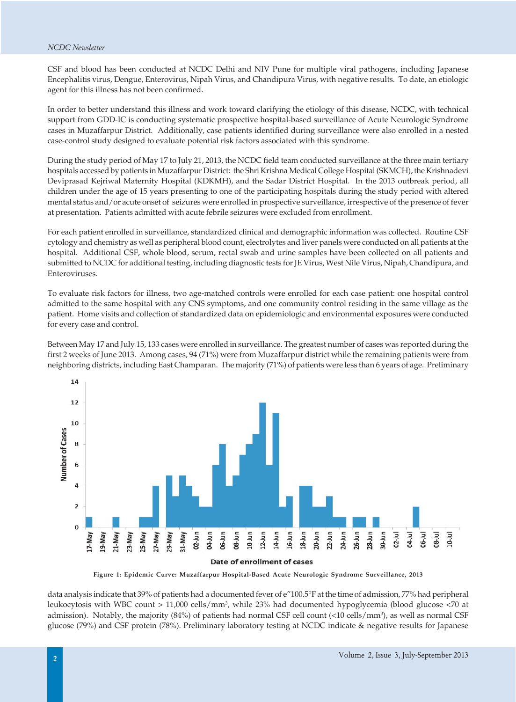CSF and blood has been conducted at NCDC Delhi and NIV Pune for multiple viral pathogens, including Japanese Encephalitis virus, Dengue, Enterovirus, Nipah Virus, and Chandipura Virus, with negative results. To date, an etiologic agent for this illness has not been confirmed.

In order to better understand this illness and work toward clarifying the etiology of this disease, NCDC, with technical support from GDD-IC is conducting systematic prospective hospital-based surveillance of Acute Neurologic Syndrome cases in Muzaffarpur District. Additionally, case patients identified during surveillance were also enrolled in a nested case-control study designed to evaluate potential risk factors associated with this syndrome.

During the study period of May 17 to July 21, 2013, the NCDC field team conducted surveillance at the three main tertiary hospitals accessed by patients in Muzaffarpur District: the Shri Krishna Medical College Hospital (SKMCH), the Krishnadevi Deviprasad Kejriwal Maternity Hospital (KDKMH), and the Sadar District Hospital. In the 2013 outbreak period, all children under the age of 15 years presenting to one of the participating hospitals during the study period with altered mental status and/or acute onset of seizures were enrolled in prospective surveillance, irrespective of the presence of fever at presentation. Patients admitted with acute febrile seizures were excluded from enrollment.

For each patient enrolled in surveillance, standardized clinical and demographic information was collected. Routine CSF cytology and chemistry as well as peripheral blood count, electrolytes and liver panels were conducted on all patients at the hospital. Additional CSF, whole blood, serum, rectal swab and urine samples have been collected on all patients and submitted to NCDC for additional testing, including diagnostic tests for JE Virus, West Nile Virus, Nipah, Chandipura, and Enteroviruses.

To evaluate risk factors for illness, two age-matched controls were enrolled for each case patient: one hospital control admitted to the same hospital with any CNS symptoms, and one community control residing in the same village as the patient. Home visits and collection of standardized data on epidemiologic and environmental exposures were conducted for every case and control.

Between May 17 and July 15, 133 cases were enrolled in surveillance. The greatest number of cases was reported during the first 2 weeks of June 2013. Among cases, 94 (71%) were from Muzaffarpur district while the remaining patients were from neighboring districts, including East Champaran. The majority (71%) of patients were less than 6 years of age. Preliminary



**Figure 1: Epidemic Curve: Muzaffarpur Hospital-Based Acute Neurologic Syndrome Surveillance, 2013**

data analysis indicate that 39% of patients had a documented fever of e"100.5°F at the time of admission, 77% had peripheral leukocytosis with WBC count > 11,000 cells/mm3 , while 23% had documented hypoglycemia (blood glucose <70 at admission). Notably, the majority (84%) of patients had normal CSF cell count (<10 cells/mm<sup>3</sup>), as well as normal CSF glucose (79%) and CSF protein (78%). Preliminary laboratory testing at NCDC indicate & negative results for Japanese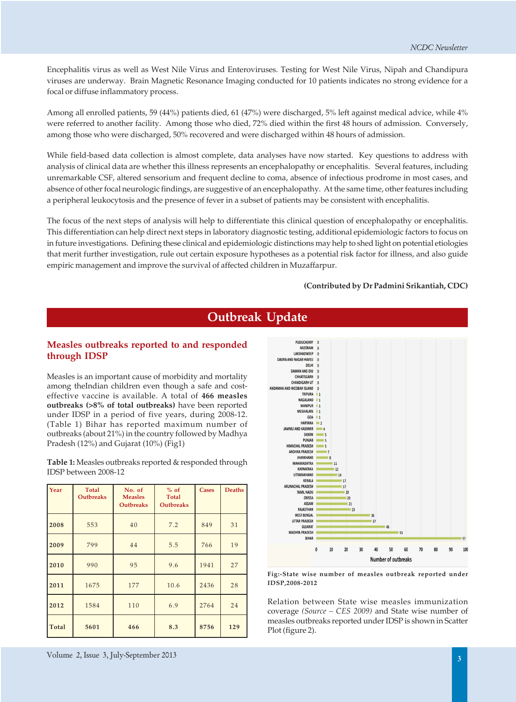Encephalitis virus as well as West Nile Virus and Enteroviruses. Testing for West Nile Virus, Nipah and Chandipura viruses are underway. Brain Magnetic Resonance Imaging conducted for 10 patients indicates no strong evidence for a focal or diffuse inflammatory process.

Among all enrolled patients, 59 (44%) patients died, 61 (47%) were discharged, 5% left against medical advice, while 4% were referred to another facility. Among those who died, 72% died within the first 48 hours of admission. Conversely, among those who were discharged, 50% recovered and were discharged within 48 hours of admission.

While field-based data collection is almost complete, data analyses have now started. Key questions to address with analysis of clinical data are whether this illness represents an encephalopathy or encephalitis. Several features, including unremarkable CSF, altered sensorium and frequent decline to coma, absence of infectious prodrome in most cases, and absence of other focal neurologic findings, are suggestive of an encephalopathy. At the same time, other features including a peripheral leukocytosis and the presence of fever in a subset of patients may be consistent with encephalitis.

The focus of the next steps of analysis will help to differentiate this clinical question of encephalopathy or encephalitis. This differentiation can help direct next steps in laboratory diagnostic testing, additional epidemiologic factors to focus on in future investigations. Defining these clinical and epidemiologic distinctions may help to shed light on potential etiologies that merit further investigation, rule out certain exposure hypotheses as a potential risk factor for illness, and also guide empiric management and improve the survival of affected children in Muzaffarpur.

#### **(Contributed by Dr Padmini Srikantiah, CDC)**

# **Measles outbreaks reported to and responded**

**through IDSP** Measles is an important cause of morbidity and mortality among theIndian children even though a safe and costeffective vaccine is available. A total of **466 measles outbreaks (>8% of total outbreaks)** have been reported under IDSP in a period of five years, during 2008-12.

(Table 1) Bihar has reported maximum number of outbreaks (about 21%) in the country followed by Madhya

Pradesh (12%) and Gujarat (10%) (Fig1)

**Table 1:** Measles outbreaks reported & responded through IDSP between 2008-12

| Year  | <b>Total</b><br><b>Outbreaks</b> | No. of<br><b>Measles</b><br><b>Outbreaks</b> | $%$ of<br><b>Total</b><br><b>Outbreaks</b> | <b>Cases</b> | <b>Deaths</b> |
|-------|----------------------------------|----------------------------------------------|--------------------------------------------|--------------|---------------|
| 2008  | 553                              | 40                                           | 7.2                                        | 849          | 31            |
| 2009  | 799                              | 44                                           | 5.5                                        | 766          | 19            |
| 2010  | 990                              | 95                                           | 9.6                                        | 1941         | 27            |
| 2011  | 1675                             | 177                                          | 10.6                                       | 2436         | 28            |
| 2012  | 1584                             | 110                                          | 6.9                                        | 2764         | 24            |
| Total | 5601                             | 466                                          | 8.3                                        | 8756         | 129           |



**Fig:-State wise number of measles outbreak reported under IDSP,2008-2012**

Relation between State wise measles immunization coverage *(Source – CES 2009)* and State wise number of measles outbreaks reported under IDSP is shown in Scatter Plot (figure 2).

#### **Outbreak Update**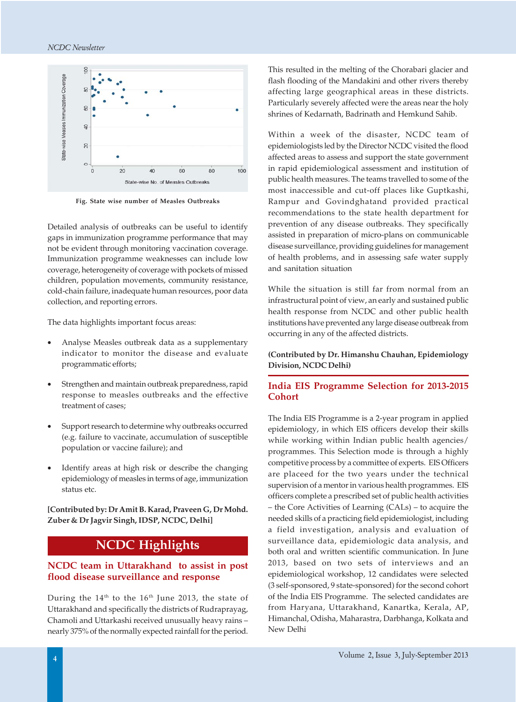

**Fig. State wise number of Measles Outbreaks**

Detailed analysis of outbreaks can be useful to identify gaps in immunization programme performance that may not be evident through monitoring vaccination coverage. Immunization programme weaknesses can include low coverage, heterogeneity of coverage with pockets of missed children, population movements, community resistance, cold-chain failure, inadequate human resources, poor data collection, and reporting errors.

The data highlights important focus areas:

- Analyse Measles outbreak data as a supplementary indicator to monitor the disease and evaluate programmatic efforts;
- Strengthen and maintain outbreak preparedness, rapid response to measles outbreaks and the effective treatment of cases;
- Support research to determine why outbreaks occurred (e.g. failure to vaccinate, accumulation of susceptible population or vaccine failure); and
- Identify areas at high risk or describe the changing epidemiology of measles in terms of age, immunization status etc.

**[Contributed by: Dr Amit B. Karad, Praveen G, Dr Mohd. Zuber & Dr Jagvir Singh, IDSP, NCDC, Delhi]**

### **NCDC Highlights**

#### **NCDC team in Uttarakhand to assist in post flood disease surveillance and response**

During the  $14<sup>th</sup>$  to the  $16<sup>th</sup>$  June 2013, the state of Uttarakhand and specifically the districts of Rudraprayag, Chamoli and Uttarkashi received unusually heavy rains – nearly 375% of the normally expected rainfall for the period.

This resulted in the melting of the Chorabari glacier and flash flooding of the Mandakini and other rivers thereby affecting large geographical areas in these districts. Particularly severely affected were the areas near the holy shrines of Kedarnath, Badrinath and Hemkund Sahib.

Within a week of the disaster, NCDC team of epidemiologists led by the Director NCDC visited the flood affected areas to assess and support the state government in rapid epidemiological assessment and institution of public health measures. The teams travelled to some of the most inaccessible and cut-off places like Guptkashi, Rampur and Govindghatand provided practical recommendations to the state health department for prevention of any disease outbreaks. They specifically assisted in preparation of micro-plans on communicable disease surveillance, providing guidelines for management of health problems, and in assessing safe water supply and sanitation situation

While the situation is still far from normal from an infrastructural point of view, an early and sustained public health response from NCDC and other public health institutions have prevented any large disease outbreak from occurring in any of the affected districts.

#### **(Contributed by Dr. Himanshu Chauhan, Epidemiology Division, NCDC Delhi)**

#### **India EIS Programme Selection for 2013-2015 Cohort**

The India EIS Programme is a 2-year program in applied epidemiology, in which EIS officers develop their skills while working within Indian public health agencies/ programmes. This Selection mode is through a highly competitive process by a committee of experts. EIS Officers are placeed for the two years under the technical supervision of a mentor in various health programmes. EIS officers complete a prescribed set of public health activities – the Core Activities of Learning (CALs) – to acquire the needed skills of a practicing field epidemiologist, including a field investigation, analysis and evaluation of surveillance data, epidemiologic data analysis, and both oral and written scientific communication. In June 2013, based on two sets of interviews and an epidemiological workshop, 12 candidates were selected (3 self-sponsored, 9 state-sponsored) for the second cohort of the India EIS Programme. The selected candidates are from Haryana, Uttarakhand, Kanartka, Kerala, AP, Himanchal, Odisha, Maharastra, Darbhanga, Kolkata and New Delhi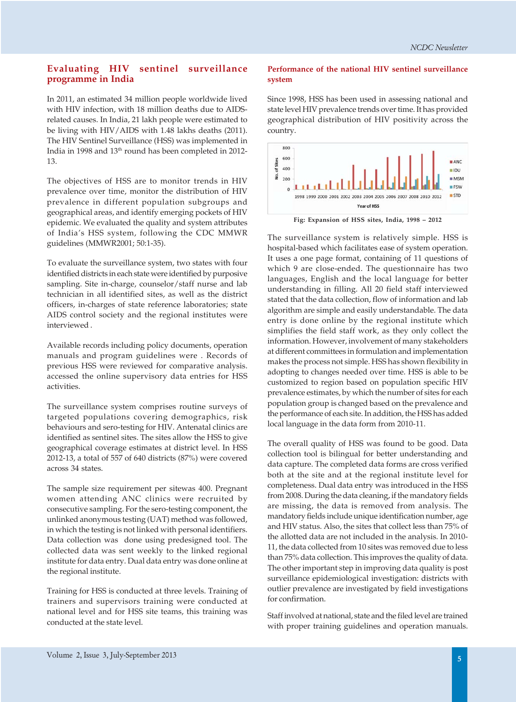#### **Evaluating HIV sentinel surveillance programme in India**

In 2011, an estimated 34 million people worldwide lived with HIV infection, with 18 million deaths due to AIDSrelated causes. In India, 21 lakh people were estimated to be living with HIV/AIDS with 1.48 lakhs deaths (2011). The HIV Sentinel Surveillance (HSS) was implemented in India in 1998 and 13<sup>th</sup> round has been completed in 2012-13.

The objectives of HSS are to monitor trends in HIV prevalence over time, monitor the distribution of HIV prevalence in different population subgroups and geographical areas, and identify emerging pockets of HIV epidemic. We evaluated the quality and system attributes of India's HSS system, following the CDC MMWR guidelines (MMWR2001; 50:1-35).

To evaluate the surveillance system, two states with four identified districts in each state were identified by purposive sampling. Site in-charge, counselor/staff nurse and lab technician in all identified sites, as well as the district officers, in-charges of state reference laboratories; state AIDS control society and the regional institutes were interviewed .

Available records including policy documents, operation manuals and program guidelines were . Records of previous HSS were reviewed for comparative analysis. accessed the online supervisory data entries for HSS activities.

The surveillance system comprises routine surveys of targeted populations covering demographics, risk behaviours and sero-testing for HIV. Antenatal clinics are identified as sentinel sites. The sites allow the HSS to give geographical coverage estimates at district level. In HSS 2012-13, a total of 557 of 640 districts (87%) were covered across 34 states.

The sample size requirement per sitewas 400. Pregnant women attending ANC clinics were recruited by consecutive sampling. For the sero-testing component, the unlinked anonymous testing (UAT) method was followed, in which the testing is not linked with personal identifiers. Data collection was done using predesigned tool. The collected data was sent weekly to the linked regional institute for data entry. Dual data entry was done online at the regional institute.

Training for HSS is conducted at three levels. Training of trainers and supervisors training were conducted at national level and for HSS site teams, this training was conducted at the state level.

#### **Performance of the national HIV sentinel surveillance system**

Since 1998, HSS has been used in assessing national and state level HIV prevalence trends over time. It has provided geographical distribution of HIV positivity across the country.



**Fig: Expansion of HSS sites, India, 1998 – 2012**

The surveillance system is relatively simple. HSS is hospital-based which facilitates ease of system operation. It uses a one page format, containing of 11 questions of which 9 are close-ended. The questionnaire has two languages, English and the local language for better understanding in filling. All 20 field staff interviewed stated that the data collection, flow of information and lab algorithm are simple and easily understandable. The data entry is done online by the regional institute which simplifies the field staff work, as they only collect the information. However, involvement of many stakeholders at different committees in formulation and implementation makes the process not simple. HSS has shown flexibility in adopting to changes needed over time. HSS is able to be customized to region based on population specific HIV prevalence estimates, by which the number of sites for each population group is changed based on the prevalence and the performance of each site. In addition, the HSS has added local language in the data form from 2010-11.

The overall quality of HSS was found to be good. Data collection tool is bilingual for better understanding and data capture. The completed data forms are cross verified both at the site and at the regional institute level for completeness. Dual data entry was introduced in the HSS from 2008. During the data cleaning, if the mandatory fields are missing, the data is removed from analysis. The mandatory fields include unique identification number, age and HIV status. Also, the sites that collect less than 75% of the allotted data are not included in the analysis. In 2010- 11, the data collected from 10 sites was removed due to less than 75% data collection. This improves the quality of data. The other important step in improving data quality is post surveillance epidemiological investigation: districts with outlier prevalence are investigated by field investigations for confirmation.

Staff involved at national, state and the filed level are trained with proper training guidelines and operation manuals.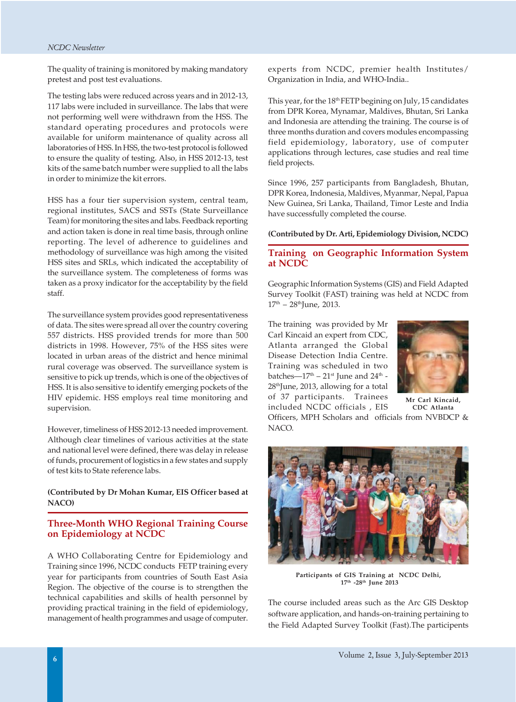The quality of training is monitored by making mandatory pretest and post test evaluations.

The testing labs were reduced across years and in 2012-13, 117 labs were included in surveillance. The labs that were not performing well were withdrawn from the HSS. The standard operating procedures and protocols were available for uniform maintenance of quality across all laboratories of HSS. In HSS, the two-test protocol is followed to ensure the quality of testing. Also, in HSS 2012-13, test kits of the same batch number were supplied to all the labs in order to minimize the kit errors.

HSS has a four tier supervision system, central team, regional institutes, SACS and SSTs (State Surveillance Team) for monitoring the sites and labs. Feedback reporting and action taken is done in real time basis, through online reporting. The level of adherence to guidelines and methodology of surveillance was high among the visited HSS sites and SRLs, which indicated the acceptability of the surveillance system. The completeness of forms was taken as a proxy indicator for the acceptability by the field staff.

The surveillance system provides good representativeness of data. The sites were spread all over the country covering 557 districts. HSS provided trends for more than 500 districts in 1998. However, 75% of the HSS sites were located in urban areas of the district and hence minimal rural coverage was observed. The surveillance system is sensitive to pick up trends, which is one of the objectives of HSS. It is also sensitive to identify emerging pockets of the HIV epidemic. HSS employs real time monitoring and supervision.

However, timeliness of HSS 2012-13 needed improvement. Although clear timelines of various activities at the state and national level were defined, there was delay in release of funds, procurement of logistics in a few states and supply of test kits to State reference labs.

**(Contributed by Dr Mohan Kumar, EIS Officer based at NACO)**

#### **Three-Month WHO Regional Training Course on Epidemiology at NCDC**

A WHO Collaborating Centre for Epidemiology and Training since 1996, NCDC conducts FETP training every year for participants from countries of South East Asia Region. The objective of the course is to strengthen the technical capabilities and skills of health personnel by providing practical training in the field of epidemiology, management of health programmes and usage of computer.

experts from NCDC, premier health Institutes/ Organization in India, and WHO-India..

This year, for the 18<sup>th</sup> FETP begining on July, 15 candidates from DPR Korea, Mynamar, Maldives, Bhutan, Sri Lanka and Indonesia are attending the training. The course is of three months duration and covers modules encompassing field epidemiology, laboratory, use of computer applications through lectures, case studies and real time field projects.

Since 1996, 257 participants from Bangladesh, Bhutan, DPR Korea, Indonesia, Maldives, Myanmar, Nepal, Papua New Guinea, Sri Lanka, Thailand, Timor Leste and India have successfully completed the course.

**(Contributed by Dr. Arti, Epidemiology Division, NCDC)**

#### **Training on Geographic Information System at NCDC**

Geographic Information Systems (GIS) and Field Adapted Survey Toolkit (FAST) training was held at NCDC from  $17<sup>th</sup> - 28<sup>th</sup>$ June, 2013.

The training was provided by Mr Carl Kincaid an expert from CDC, Atlanta arranged the Global Disease Detection India Centre. Training was scheduled in two batches— $17<sup>th</sup> - 21<sup>st</sup>$  June and  $24<sup>th</sup>$  -28thJune, 2013, allowing for a total of 37 participants. Trainees included NCDC officials , EIS

NACO.



Officers, MPH Scholars and officials from NVBDCP & **Mr Carl Kincaid, CDC Atlanta**

**Participants of GIS Training at NCDC Delhi, 17th -28th June 2013**

The course included areas such as the Arc GIS Desktop software application, and hands-on-training pertaining to the Field Adapted Survey Toolkit (Fast).The participents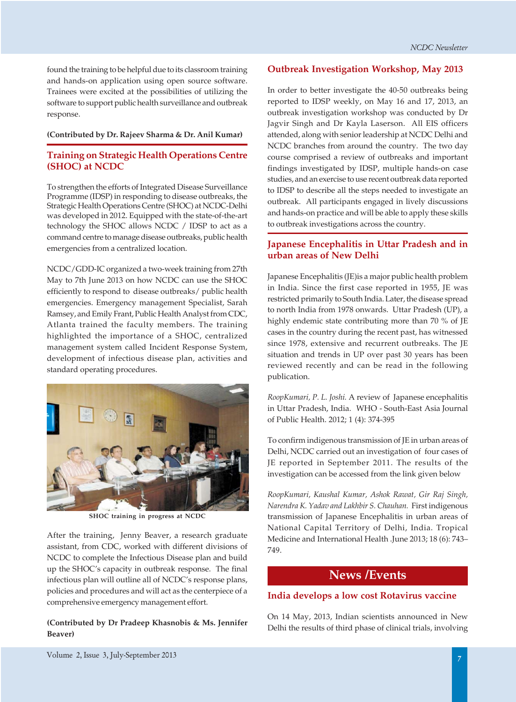found the training to be helpful due to its classroom training and hands-on application using open source software. Trainees were excited at the possibilities of utilizing the software to support public health surveillance and outbreak response.

#### **(Contributed by Dr. Rajeev Sharma & Dr. Anil Kumar)**

#### **Training on Strategic Health Operations Centre (SHOC) at NCDC**

To strengthen the efforts of Integrated Disease Surveillance Programme (IDSP) in responding to disease outbreaks, the Strategic Health Operations Centre (SHOC) at NCDC-Delhi was developed in 2012. Equipped with the state-of-the-art technology the SHOC allows NCDC / IDSP to act as a command centre to manage disease outbreaks, public health emergencies from a centralized location.

NCDC/GDD-IC organized a two-week training from 27th May to 7th June 2013 on how NCDC can use the SHOC efficiently to respond to disease outbreaks/ public health emergencies. Emergency management Specialist, Sarah Ramsey, and Emily Frant, Public Health Analyst from CDC, Atlanta trained the faculty members. The training highlighted the importance of a SHOC, centralized management system called Incident Response System, development of infectious disease plan, activities and standard operating procedures.



**SHOC training in progress at NCDC**

After the training, Jenny Beaver, a research graduate assistant, from CDC, worked with different divisions of NCDC to complete the Infectious Disease plan and build up the SHOC's capacity in outbreak response. The final infectious plan will outline all of NCDC's response plans, policies and procedures and will act as the centerpiece of a comprehensive emergency management effort.

#### **(Contributed by Dr Pradeep Khasnobis & Ms. Jennifer Beaver)**

#### **Outbreak Investigation Workshop, May 2013**

In order to better investigate the 40-50 outbreaks being reported to IDSP weekly, on May 16 and 17, 2013, an outbreak investigation workshop was conducted by Dr Jagvir Singh and Dr Kayla Laserson. All EIS officers attended, along with senior leadership at NCDC Delhi and NCDC branches from around the country. The two day course comprised a review of outbreaks and important findings investigated by IDSP, multiple hands-on case studies, and an exercise to use recent outbreak data reported to IDSP to describe all the steps needed to investigate an outbreak. All participants engaged in lively discussions and hands-on practice and will be able to apply these skills to outbreak investigations across the country.

#### **Japanese Encephalitis in Uttar Pradesh and in urban areas of New Delhi**

Japanese Encephalitis (JE)is a major public health problem in India. Since the first case reported in 1955, JE was restricted primarily to South India. Later, the disease spread to north India from 1978 onwards. Uttar Pradesh (UP), a highly endemic state contributing more than 70 % of JE cases in the country during the recent past, has witnessed since 1978, extensive and recurrent outbreaks. The JE situation and trends in UP over past 30 years has been reviewed recently and can be read in the following publication.

*RoopKumari, P. L. Joshi.* A review of Japanese encephalitis in Uttar Pradesh, India. WHO - South-East Asia Journal of Public Health. 2012; 1 (4): 374-395

To confirm indigenous transmission of JE in urban areas of Delhi, NCDC carried out an investigation of four cases of JE reported in September 2011. The results of the investigation can be accessed from the link given below

*RoopKumari, Kaushal Kumar, Ashok Rawat, Gir Raj Singh, Narendra K. Yadav and Lakhbir S. Chauhan.* First indigenous transmission of Japanese Encephalitis in urban areas of National Capital Territory of Delhi, India. Tropical Medicine and International Health .June 2013; 18 (6): 743– 749.

#### **News /Events**

#### **India develops a low cost Rotavirus vaccine**

On 14 May, 2013, Indian scientists announced in New Delhi the results of third phase of clinical trials, involving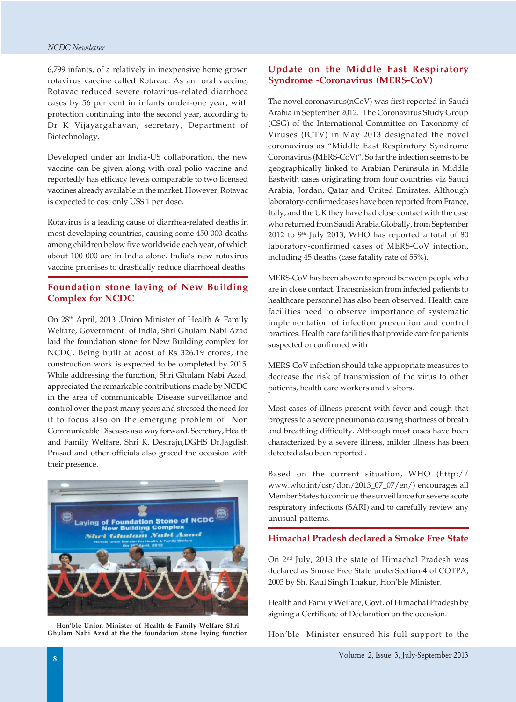6,799 infants, of a relatively in inexpensive home grown rotavirus vaccine called Rotavac. As an oral vaccine, Rotavac reduced severe rotavirus-related diarrhoea cases by 56 per cent in infants under-one year, with protection continuing into the second year, according to Dr K Vijayargahavan, secretary, Department of Biotechnology.

Developed under an India-US collaboration, the new vaccine can be given along with oral polio vaccine and reportedly has efficacy levels comparable to two licensed vaccines already available in the market. However, Rotavac is expected to cost only US\$ 1 per dose.

Rotavirus is a leading cause of diarrhea-related deaths in most developing countries, causing some 450 000 deaths among children below five worldwide each year, of which about 100 000 are in India alone. India's new rotavirus vaccine promises to drastically reduce diarrhoeal deaths

#### **Foundation stone laying of New Building Complex for NCDC**

On 28th April, 2013 ,Union Minister of Health & Family Welfare, Government of India, Shri Ghulam Nabi Azad laid the foundation stone for New Building complex for NCDC. Being built at acost of Rs 326.19 crores, the construction work is expected to be completed by 2015. While addressing the function, Shri Ghulam Nabi Azad, appreciated the remarkable contributions made by NCDC in the area of communicable Disease surveillance and control over the past many years and stressed the need for it to focus also on the emerging problem of Non Communicable Diseases as a way forward. Secretary, Health and Family Welfare, Shri K. Desiraju,DGHS Dr.Jagdish Prasad and other officials also graced the occasion with their presence.



**Hon'ble Union Minister of Health & Family Welfare Shri Ghulam Nabi Azad at the the foundation stone laying function**

#### **Update on the Middle East Respiratory Syndrome -Coronavirus (MERS-CoV)**

The novel coronavirus(nCoV) was first reported in Saudi Arabia in September 2012. The Coronavirus Study Group (CSG) of the International Committee on Taxonomy of Viruses (ICTV) in May 2013 designated the novel coronavirus as "Middle East Respiratory Syndrome Coronavirus (MERS-CoV)". So far the infection seems to be geographically linked to Arabian Peninsula in Middle Eastwith cases originating from four countries viz Saudi Arabia, Jordan, Qatar and United Emirates. Although laboratory-confirmedcases have been reported from France, Italy, and the UK they have had close contact with the case who returned from Saudi Arabia.Globally, from September  $2012$  to 9<sup>th</sup> July 2013, WHO has reported a total of 80 laboratory-confirmed cases of MERS-CoV infection, including 45 deaths (case fatality rate of 55%).

MERS-CoV has been shown to spread between people who are in close contact. Transmission from infected patients to healthcare personnel has also been observed. Health care facilities need to observe importance of systematic implementation of infection prevention and control practices. Health care facilities that provide care for patients suspected or confirmed with

MERS-CoV infection should take appropriate measures to decrease the risk of transmission of the virus to other patients, health care workers and visitors.

Most cases of illness present with fever and cough that progress to a severe pneumonia causing shortness of breath and breathing difficulty. Although most cases have been characterized by a severe illness, milder illness has been detected also been reported .

Based on the current situation, WHO (http:// www.who.int/csr/don/2013\_07\_07/en/) encourages all Member States to continue the surveillance for severe acute respiratory infections (SARI) and to carefully review any unusual patterns.

#### **Himachal Pradesh declared a Smoke Free State**

On 2nd July, 2013 the state of Himachal Pradesh was declared as Smoke Free State underSection-4 of COTPA, 2003 by Sh. Kaul Singh Thakur, Hon'ble Minister,

Health and Family Welfare, Govt. of Himachal Pradesh by signing a Certificate of Declaration on the occasion.

Hon'ble Minister ensured his full support to the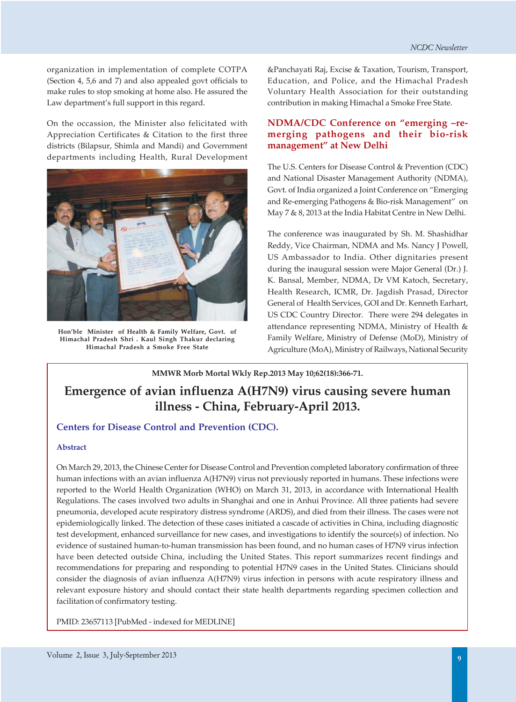organization in implementation of complete COTPA (Section 4, 5,6 and 7) and also appealed govt officials to make rules to stop smoking at home also. He assured the Law department's full support in this regard.

On the occassion, the Minister also felicitated with Appreciation Certificates & Citation to the first three districts (Bilapsur, Shimla and Mandi) and Government departments including Health, Rural Development



**Hon'ble Minister of Health & Family Welfare, Govt. of Himachal Pradesh Shri . Kaul Singh Thakur declaring Himachal Pradesh a Smoke Free State**

&Panchayati Raj, Excise & Taxation, Tourism, Transport, Education, and Police, and the Himachal Pradesh Voluntary Health Association for their outstanding contribution in making Himachal a Smoke Free State.

#### **NDMA/CDC Conference on "emerging –remerging pathogens and their bio-risk management" at New Delhi**

The U.S. Centers for Disease Control & Prevention (CDC) and National Disaster Management Authority (NDMA), Govt. of India organized a Joint Conference on "Emerging and Re-emerging Pathogens & Bio-risk Management" on May 7 & 8, 2013 at the India Habitat Centre in New Delhi.

The conference was inaugurated by Sh. M. Shashidhar Reddy, Vice Chairman, NDMA and Ms. Nancy J Powell, US Ambassador to India. Other dignitaries present during the inaugural session were Major General (Dr.) J. K. Bansal, Member, NDMA, Dr VM Katoch, Secretary, Health Research, ICMR, Dr. Jagdish Prasad, Director General of Health Services, GOI and Dr. Kenneth Earhart, US CDC Country Director. There were 294 delegates in attendance representing NDMA, Ministry of Health & Family Welfare, Ministry of Defense (MoD), Ministry of Agriculture (MoA), Ministry of Railways, National Security

**MMWR Morb Mortal Wkly Rep.2013 May 10;62(18):366-71.**

# **Emergence of avian influenza A(H7N9) virus causing severe human illness - China, February-April 2013.**

#### **Centers for Disease Control and Prevention (CDC).**

#### **Abstract**

On March 29, 2013, the Chinese Center for Disease Control and Prevention completed laboratory confirmation of three human infections with an avian influenza A(H7N9) virus not previously reported in humans. These infections were reported to the World Health Organization (WHO) on March 31, 2013, in accordance with International Health Regulations. The cases involved two adults in Shanghai and one in Anhui Province. All three patients had severe pneumonia, developed acute respiratory distress syndrome (ARDS), and died from their illness. The cases were not epidemiologically linked. The detection of these cases initiated a cascade of activities in China, including diagnostic test development, enhanced surveillance for new cases, and investigations to identify the source(s) of infection. No evidence of sustained human-to-human transmission has been found, and no human cases of H7N9 virus infection have been detected outside China, including the United States. This report summarizes recent findings and recommendations for preparing and responding to potential H7N9 cases in the United States. Clinicians should consider the diagnosis of avian influenza A(H7N9) virus infection in persons with acute respiratory illness and relevant exposure history and should contact their state health departments regarding specimen collection and facilitation of confirmatory testing.

PMID: 23657113 [PubMed - indexed for MEDLINE]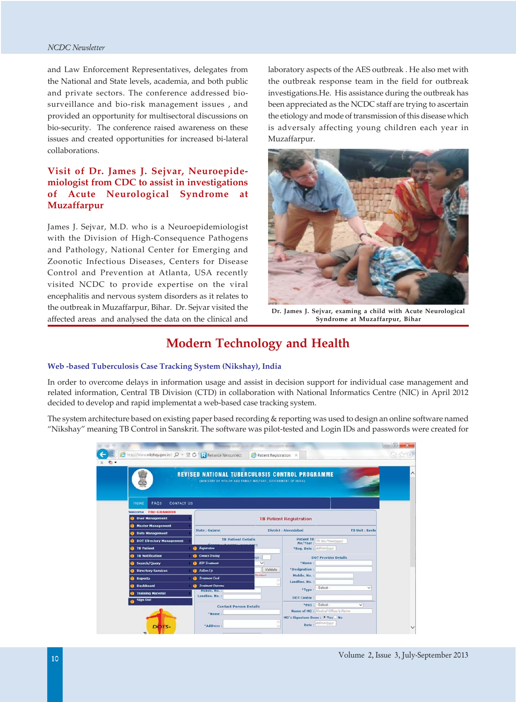and Law Enforcement Representatives, delegates from the National and State levels, academia, and both public and private sectors. The conference addressed biosurveillance and bio-risk management issues , and provided an opportunity for multisectoral discussions on bio-security. The conference raised awareness on these issues and created opportunities for increased bi-lateral collaborations.

#### **Visit of Dr. James J. Sejvar, Neuroepidemiologist from CDC to assist in investigations of Acute Neurological Syndrome at Muzaffarpur**

James J. Sejvar, M.D. who is a Neuroepidemiologist with the Division of High-Consequence Pathogens and Pathology, National Center for Emerging and Zoonotic Infectious Diseases, Centers for Disease Control and Prevention at Atlanta, USA recently visited NCDC to provide expertise on the viral encephalitis and nervous system disorders as it relates to the outbreak in Muzaffarpur, Bihar. Dr. Sejvar visited the affected areas and analysed the data on the clinical and

laboratory aspects of the AES outbreak . He also met with the outbreak response team in the field for outbreak investigations.He. His assistance during the outbreak has been appreciated as the NCDC staff are trying to ascertain the etiology and mode of transmission of this disease which is adversaly affecting young children each year in Muzaffarpur.



**Dr. James J. Sejvar, examing a child with Acute Neurological Syndrome at Muzaffarpur, Bihar**

# **Modern Technology and Health**

#### **Web -based Tuberculosis Case Tracking System (Nikshay), India**

In order to overcome delays in information usage and assist in decision support for individual case management and related information, Central TB Division (CTD) in collaboration with National Informatics Centre (NIC) in April 2012 decided to develop and rapid implementat a web-based case tracking system.

The system architecture based on existing paper based recording & reporting was used to design an online software named "Nikshay" meaning TB Control in Sanskrit. The software was pilot-tested and Login IDs and passwords were created for

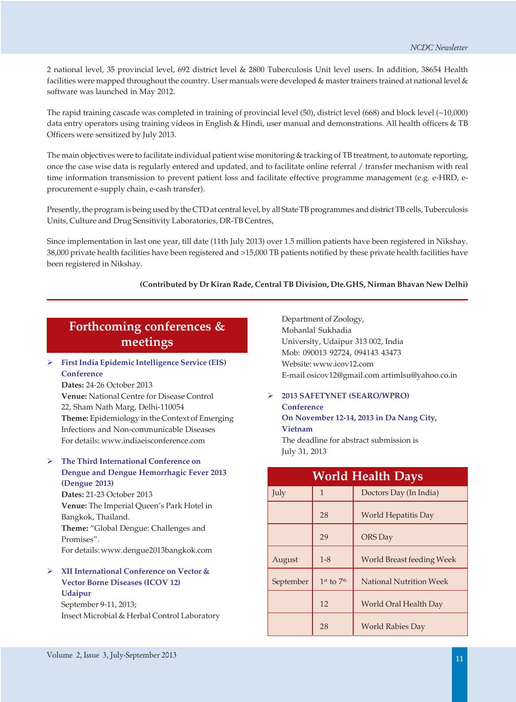2 national level, 35 provincial level, 692 district level & 2800 Tuberculosis Unit level users. In addition, 38654 Health facilities were mapped throughout the country. User manuals were developed & master trainers trained at national level & software was launched in May 2012.

The rapid training cascade was completed in training of provincial level (50), district level (668) and block level (~10,000) data entry operators using training videos in English & Hindi, user manual and demonstrations. All health officers & TB Officers were sensitized by July 2013.

The main objectives were to facilitate individual patient wise monitoring & tracking of TB treatment, to automate reporting, once the case wise data is regularly entered and updated, and to facilitate online referral / transfer mechanism with real time information transmission to prevent patient loss and facilitate effective programme management (e.g. e-HRD, eprocurement e-supply chain, e-cash transfer).

Presently, the program is being used by the CTD at central level, by all State TB programmes and district TB cells, Tuberculosis Units, Culture and Drug Sensitivity Laboratories, DR-TB Centres,

Since implementation in last one year, till date (11th July 2013) over 1.5 million patients have been registered in Nikshay. 38,000 private health facilities have been registered and >15,000 TB patients notified by these private health facilities have been registered in Nikshay.

#### **(Contributed by Dr Kiran Rade, Central TB Division, Dte.GHS, Nirman Bhavan New Delhi)**

# **Forthcoming conferences & meetings**

 **First India Epidemic Intelligence Service (EIS) Conference Dates:** 24-26 October 2013 **Venue:** National Centre for Disease Control

22, Sham Nath Marg, Delhi-110054 **Theme:** Epidemiology in the Context of Emerging Infections and Non-communicable Diseases For details: www.indiaeisconference.com

 **The Third International Conference on Dengue and Dengue Hemorrhagic Fever 2013 (Dengue 2013) Dates:** 21-23 October 2013 **Venue:** The Imperial Queen's Park Hotel in Bangkok, Thailand. **Theme:** "Global Dengue: Challenges and Promises".

For details: www.dengue2013bangkok.com

 **XII International Conference on Vector & Vector Borne Diseases (ICOV 12) Udaipur**

September 9-11, 2013; Insect Microbial & Herbal Control Laboratory

Department of Zoology, Mohanlal Sukhadia University, Udaipur 313 002, India Mob: 090013 92724, 094143 43473 Website: www.icov12.com E-mail osicov12@gmail.com artimlsu@yahoo.co.in

#### **2013 SAFETYNET (SEARO/WPRO) Conference On November 12-14, 2013 in Da Nang City,**

**Vietnam** The deadline for abstract submission is July 31, 2013

| <b>World Health Days</b> |                |                                  |  |  |
|--------------------------|----------------|----------------------------------|--|--|
| July                     | $\mathbf{1}$   | Doctors Day (In India)           |  |  |
|                          | 28             | World Hepatitis Day              |  |  |
|                          | 29             | <b>ORS</b> Day                   |  |  |
| August                   | $1 - 8$        | <b>World Breast feeding Week</b> |  |  |
| September                | $1st$ to $7th$ | <b>National Nutrition Week</b>   |  |  |
|                          | 12             | World Oral Health Day            |  |  |
|                          | 28             | <b>World Rabies Day</b>          |  |  |